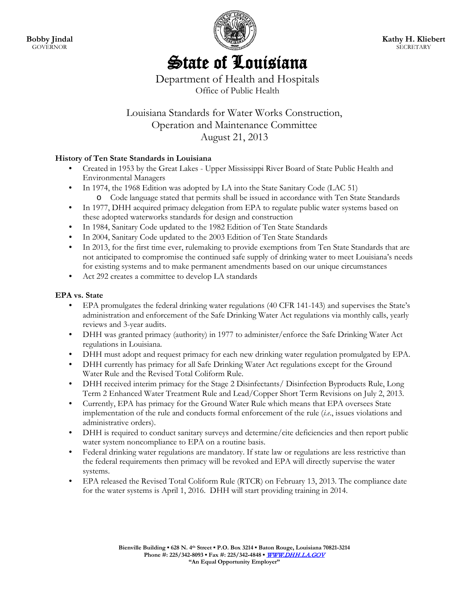**Bobby Jindal GOVERNOR** 



# State of Louisiana

Department of Health and Hospitals Office of Public Health

# Louisiana Standards for Water Works Construction, Operation and Maintenance Committee August 21, 2013

# **History of Ten State Standards in Louisiana**

- Created in 1953 by the Great Lakes Upper Mississippi River Board of State Public Health and Environmental Managers
- In 1974, the 1968 Edition was adopted by LA into the State Sanitary Code (LAC 51) o Code language stated that permits shall be issued in accordance with Ten State Standards
- In 1977, DHH acquired primacy delegation from EPA to regulate public water systems based on these adopted waterworks standards for design and construction
- In 1984, Sanitary Code updated to the 1982 Edition of Ten State Standards
- In 2004, Sanitary Code updated to the 2003 Edition of Ten State Standards
- In 2013, for the first time ever, rulemaking to provide exemptions from Ten State Standards that are not anticipated to compromise the continued safe supply of drinking water to meet Louisiana's needs for existing systems and to make permanent amendments based on our unique circumstances
- Act 292 creates a committee to develop LA standards

# **EPA vs. State**

- EPA promulgates the federal drinking water regulations (40 CFR 141-143) and supervises the State's administration and enforcement of the Safe Drinking Water Act regulations via monthly calls, yearly reviews and 3-year audits.
- DHH was granted primacy (authority) in 1977 to administer/enforce the Safe Drinking Water Act regulations in Louisiana.
- DHH must adopt and request primacy for each new drinking water regulation promulgated by EPA.
- DHH currently has primacy for all Safe Drinking Water Act regulations except for the Ground Water Rule and the Revised Total Coliform Rule.
- DHH received interim primacy for the Stage 2 Disinfectants/ Disinfection Byproducts Rule, Long Term 2 Enhanced Water Treatment Rule and Lead/Copper Short Term Revisions on July 2, 2013.
- Currently, EPA has primacy for the Ground Water Rule which means that EPA oversees State implementation of the rule and conducts formal enforcement of the rule (*i.e*., issues violations and administrative orders).
- DHH is required to conduct sanitary surveys and determine/cite deficiencies and then report public water system noncompliance to EPA on a routine basis.
- Federal drinking water regulations are mandatory. If state law or regulations are less restrictive than the federal requirements then primacy will be revoked and EPA will directly supervise the water systems.
- EPA released the Revised Total Coliform Rule (RTCR) on February 13, 2013. The compliance date for the water systems is April 1, 2016. DHH will start providing training in 2014.